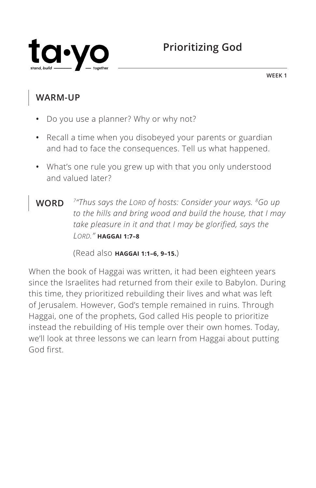

**WEEK 1**

## **WARM-UP**

- **•** Do you use a planner? Why or why not?
- **•** Recall a time when you disobeyed your parents or guardian and had to face the consequences. Tell us what happened.
- **•** What's one rule you grew up with that you only understood and valued later?
- **WORD** *7"Thus says the LORD of hosts: Consider your ways. 8Go up to the hills and bring wood and build the house, that I may take pleasure in it and that I may be glorified, says the LORD." ^***HAGGAI 1:7–8**

(Read also **^HAGGAI 1:1–6, 9–15.**)

When the book of Haggai was written, it had been eighteen years since the Israelites had returned from their exile to Babylon. During this time, they prioritized rebuilding their lives and what was left of Jerusalem. However, God's temple remained in ruins. Through Haggai, one of the prophets, God called His people to prioritize instead the rebuilding of His temple over their own homes. Today, we'll look at three lessons we can learn from Haggai about putting God first.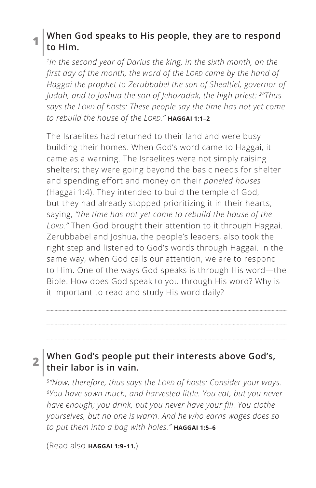### **1 When God speaks to His people, they are to respond to Him.**

*1In the second year of Darius the king, in the sixth month, on the first day of the month, the word of the LORD came by the hand of Haggai the prophet to Zerubbabel the son of Shealtiel, governor of Judah, and to Joshua the son of Jehozadak, the high priest: 2"Thus says the LORD of hosts: These people say the time has not yet come to rebuild the house of the LORD." ^***HAGGAI 1:1–2**

The Israelites had returned to their land and were busy building their homes. When God's word came to Haggai, it came as a warning. The Israelites were not simply raising shelters; they were going beyond the basic needs for shelter and spending effort and money on their *paneled houses* (Haggai 1:4). They intended to build the temple of God, but they had already stopped prioritizing it in their hearts, saying, *"the time has not yet come to rebuild the house of the LORD."* Then God brought their attention to it through Haggai. Zerubbabel and Joshua, the people's leaders, also took the right step and listened to God's words through Haggai. In the same way, when God calls our attention, we are to respond to Him. One of the ways God speaks is through His word—the Bible. How does God speak to you through His word? Why is it important to read and study His word daily?

### **2 When God's people put their interests above God's, their labor is in vain.**

*5"Now, therefore, thus says the LORD of hosts: Consider your ways. 6You have sown much, and harvested little. You eat, but you never have enough; you drink, but you never have your fill. You clothe yourselves, but no one is warm. And he who earns wages does so to put them into a bag with holes." ^***HAGGAI 1:5–6**

(Read also **HAGGAI 1:9-11.**)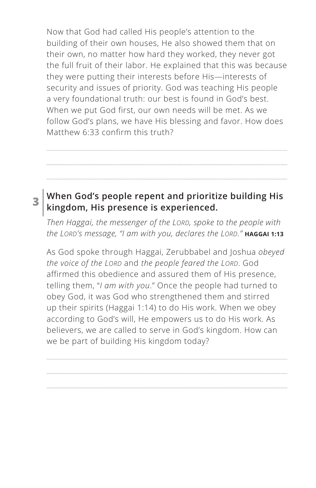Now that God had called His people's attention to the building of their own houses, He also showed them that on their own, no matter how hard they worked, they never got the full fruit of their labor. He explained that this was because they were putting their interests before His—interests of security and issues of priority. God was teaching His people a very foundational truth: our best is found in God's best. When we put God first, our own needs will be met. As we follow God's plans, we have His blessing and favor. How does Matthew 6:33 confirm this truth?

## **3 When God's people repent and prioritize building His kingdom, His presence is experienced.**

*Then Haggai, the messenger of the LORD, spoke to the people with the LORD's message, "I am with you, declares the LORD." ^***HAGGAI 1:13**

As God spoke through Haggai, Zerubbabel and Joshua *obeyed the voice of the LORD* and *the people feared the LORD*. God affirmed this obedience and assured them of His presence, telling them, "*I am with you*." Once the people had turned to obey God, it was God who strengthened them and stirred up their spirits (Haggai 1:14) to do His work. When we obey according to God's will, He empowers us to do His work. As believers, we are called to serve in God's kingdom. How can we be part of building His kingdom today?